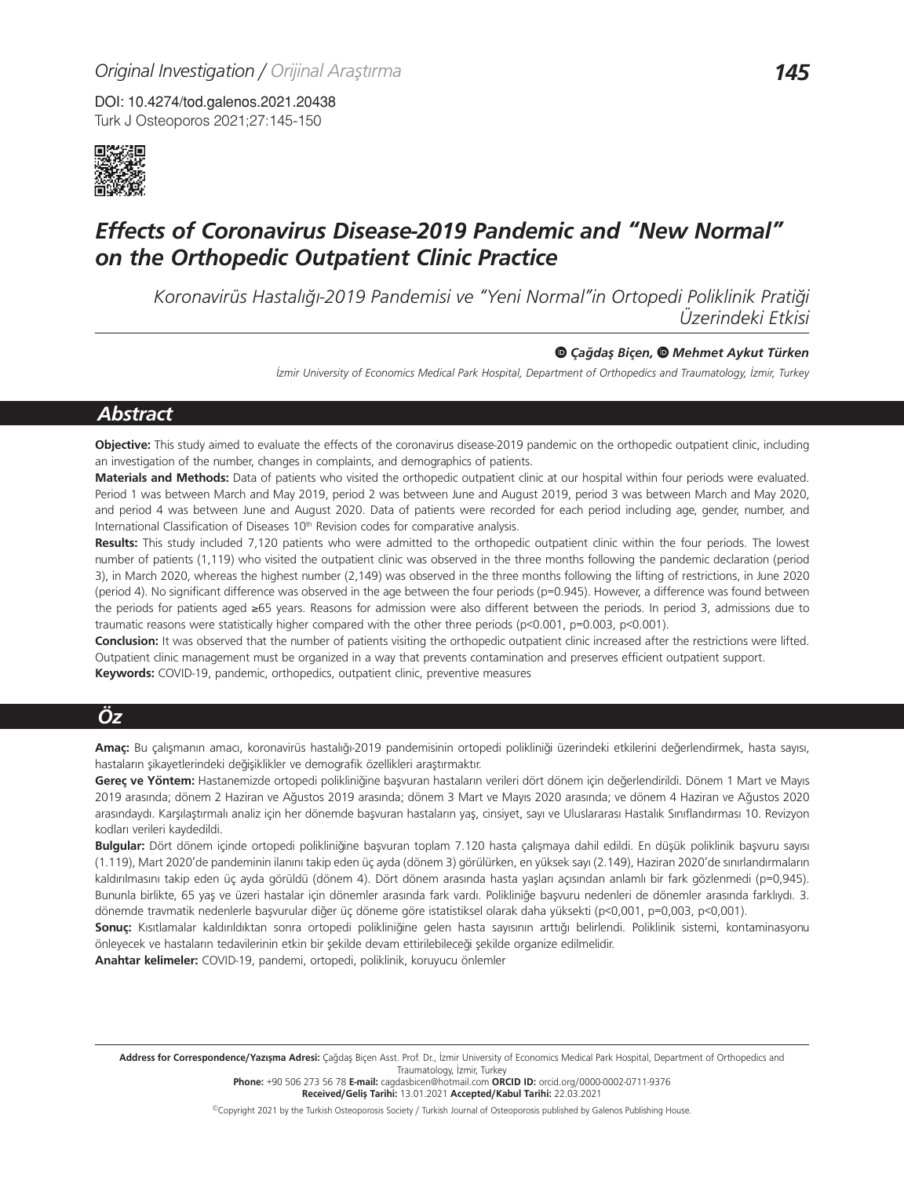DOI: 10.4274/tod.galenos.2021.20438 Turk J Osteoporos 2021;27:145-150



# *Effects of Coronavirus Disease-2019 Pandemic and "New Normal" on the Orthopedic Outpatient Clinic Practice*

*Koronavirüs Hastalığı-2019 Pandemisi ve "Yeni Normal"in Ortopedi Poliklinik Pratiği Üzerindeki Etkisi*

#### *Çağdaş Biçen, Mehmet Aykut Türken*

*İzmir University of Economics Medical Park Hospital, Department of Orthopedics and Traumatology, İzmir, Turkey*

# *Abstract*

**Objective:** This study aimed to evaluate the effects of the coronavirus disease-2019 pandemic on the orthopedic outpatient clinic, including an investigation of the number, changes in complaints, and demographics of patients.

**Materials and Methods:** Data of patients who visited the orthopedic outpatient clinic at our hospital within four periods were evaluated. Period 1 was between March and May 2019, period 2 was between June and August 2019, period 3 was between March and May 2020, and period 4 was between June and August 2020. Data of patients were recorded for each period including age, gender, number, and International Classification of Diseases 10<sup>th</sup> Revision codes for comparative analysis.

**Results:** This study included 7,120 patients who were admitted to the orthopedic outpatient clinic within the four periods. The lowest number of patients (1,119) who visited the outpatient clinic was observed in the three months following the pandemic declaration (period 3), in March 2020, whereas the highest number (2,149) was observed in the three months following the lifting of restrictions, in June 2020 (period 4). No significant difference was observed in the age between the four periods (p=0.945). However, a difference was found between the periods for patients aged ≥65 years. Reasons for admission were also different between the periods. In period 3, admissions due to traumatic reasons were statistically higher compared with the other three periods (p<0.001, p=0.003, p<0.001).

**Conclusion:** It was observed that the number of patients visiting the orthopedic outpatient clinic increased after the restrictions were lifted. Outpatient clinic management must be organized in a way that prevents contamination and preserves efficient outpatient support. **Keywords:** COVID-19, pandemic, orthopedics, outpatient clinic, preventive measures

# *Öz*

**Amaç:** Bu çalışmanın amacı, koronavirüs hastalığı-2019 pandemisinin ortopedi polikliniği üzerindeki etkilerini değerlendirmek, hasta sayısı, hastaların şikayetlerindeki değişiklikler ve demografik özellikleri araştırmaktır.

**Gereç ve Yöntem:** Hastanemizde ortopedi polikliniğine başvuran hastaların verileri dört dönem için değerlendirildi. Dönem 1 Mart ve Mayıs 2019 arasında; dönem 2 Haziran ve Ağustos 2019 arasında; dönem 3 Mart ve Mayıs 2020 arasında; ve dönem 4 Haziran ve Ağustos 2020 arasındaydı. Karşılaştırmalı analiz için her dönemde başvuran hastaların yaş, cinsiyet, sayı ve Uluslararası Hastalık Sınıflandırması 10. Revizyon kodları verileri kaydedildi.

**Bulgular:** Dört dönem içinde ortopedi polikliniğine başvuran toplam 7.120 hasta çalışmaya dahil edildi. En düşük poliklinik başvuru sayısı (1.119), Mart 2020'de pandeminin ilanını takip eden üç ayda (dönem 3) görülürken, en yüksek sayı (2.149), Haziran 2020'de sınırlandırmaların kaldırılmasını takip eden üç ayda görüldü (dönem 4). Dört dönem arasında hasta yaşları açısından anlamlı bir fark gözlenmedi (p=0,945). Bununla birlikte, 65 yaş ve üzeri hastalar için dönemler arasında fark vardı. Polikliniğe başvuru nedenleri de dönemler arasında farklıydı. 3. dönemde travmatik nedenlerle başvurular diğer üç döneme göre istatistiksel olarak daha yüksekti (p<0,001, p=0,003, p<0,001).

**Sonuç:** Kısıtlamalar kaldırıldıktan sonra ortopedi polikliniğine gelen hasta sayısının arttığı belirlendi. Poliklinik sistemi, kontaminasyonu önleyecek ve hastaların tedavilerinin etkin bir şekilde devam ettirilebileceği şekilde organize edilmelidir.

**Anahtar kelimeler:** COVID-19, pandemi, ortopedi, poliklinik, koruyucu önlemler

Address for Correspondence/Yazışma Adresi: Çağdaş Biçen Asst. Prof. Dr., İzmir University of Economics Medical Park Hospital, Department of Orthopedics and Traumatology, İzmir, Turkey

**Phone:** +90 506 273 56 78 **E-mail:** cagdasbicen@hotmail.com **ORCID ID:** orcid.org/0000-0002-0711-9376 **Received/Geliş Tarihi:** 13.01.2021 **Accepted/Kabul Tarihi:** 22.03.2021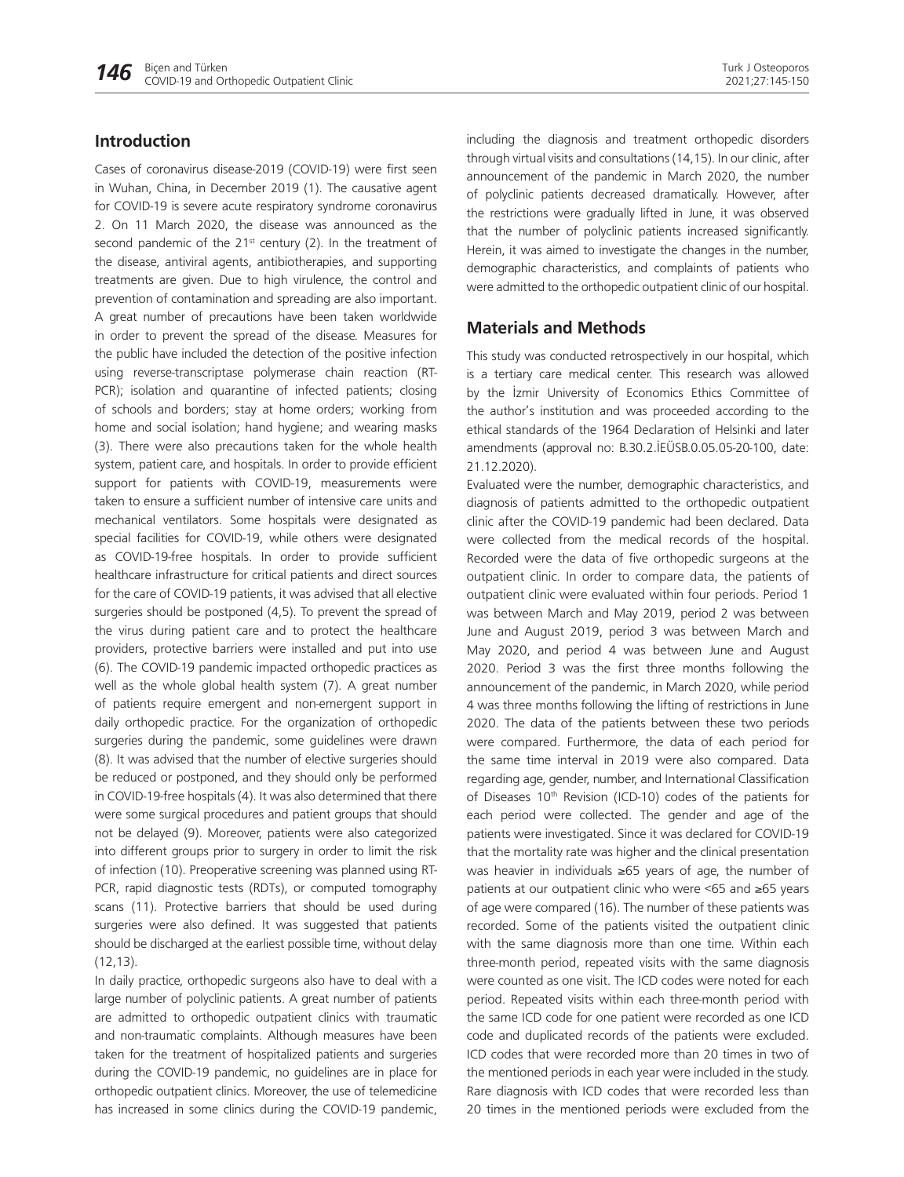## **Introduction**

Cases of coronavirus disease-2019 (COVID-19) were first seen in Wuhan, China, in December 2019 (1). The causative agent for COVID-19 is severe acute respiratory syndrome coronavirus 2. On 11 March 2020, the disease was announced as the second pandemic of the  $21^{st}$  century (2). In the treatment of the disease, antiviral agents, antibiotherapies, and supporting treatments are given. Due to high virulence, the control and prevention of contamination and spreading are also important. A great number of precautions have been taken worldwide in order to prevent the spread of the disease. Measures for the public have included the detection of the positive infection using reverse-transcriptase polymerase chain reaction (RT-PCR); isolation and quarantine of infected patients; closing of schools and borders; stay at home orders; working from home and social isolation; hand hygiene; and wearing masks (3). There were also precautions taken for the whole health system, patient care, and hospitals. In order to provide efficient support for patients with COVID-19, measurements were taken to ensure a sufficient number of intensive care units and mechanical ventilators. Some hospitals were designated as special facilities for COVID-19, while others were designated as COVID-19-free hospitals. In order to provide sufficient healthcare infrastructure for critical patients and direct sources for the care of COVID-19 patients, it was advised that all elective surgeries should be postponed (4,5). To prevent the spread of the virus during patient care and to protect the healthcare providers, protective barriers were installed and put into use (6). The COVID-19 pandemic impacted orthopedic practices as well as the whole global health system (7). A great number of patients require emergent and non-emergent support in daily orthopedic practice. For the organization of orthopedic surgeries during the pandemic, some guidelines were drawn (8). It was advised that the number of elective surgeries should be reduced or postponed, and they should only be performed in COVID-19-free hospitals (4). It was also determined that there were some surgical procedures and patient groups that should not be delayed (9). Moreover, patients were also categorized into different groups prior to surgery in order to limit the risk of infection (10). Preoperative screening was planned using RT-PCR, rapid diagnostic tests (RDTs), or computed tomography scans (11). Protective barriers that should be used during surgeries were also defined. It was suggested that patients should be discharged at the earliest possible time, without delay (12,13).

In daily practice, orthopedic surgeons also have to deal with a large number of polyclinic patients. A great number of patients are admitted to orthopedic outpatient clinics with traumatic and non-traumatic complaints. Although measures have been taken for the treatment of hospitalized patients and surgeries during the COVID-19 pandemic, no guidelines are in place for orthopedic outpatient clinics. Moreover, the use of telemedicine has increased in some clinics during the COVID-19 pandemic,

including the diagnosis and treatment orthopedic disorders through virtual visits and consultations (14,15). In our clinic, after announcement of the pandemic in March 2020, the number of polyclinic patients decreased dramatically. However, after the restrictions were gradually lifted in June, it was observed that the number of polyclinic patients increased significantly. Herein, it was aimed to investigate the changes in the number, demographic characteristics, and complaints of patients who were admitted to the orthopedic outpatient clinic of our hospital.

## **Materials and Methods**

This study was conducted retrospectively in our hospital, which is a tertiary care medical center. This research was allowed by the İzmir University of Economics Ethics Committee of the author's institution and was proceeded according to the ethical standards of the 1964 Declaration of Helsinki and later amendments (approval no: B.30.2.İEÜSB.0.05.05-20-100, date: 21.12.2020).

Evaluated were the number, demographic characteristics, and diagnosis of patients admitted to the orthopedic outpatient clinic after the COVID-19 pandemic had been declared. Data were collected from the medical records of the hospital. Recorded were the data of five orthopedic surgeons at the outpatient clinic. In order to compare data, the patients of outpatient clinic were evaluated within four periods. Period 1 was between March and May 2019, period 2 was between June and August 2019, period 3 was between March and May 2020, and period 4 was between June and August 2020. Period 3 was the first three months following the announcement of the pandemic, in March 2020, while period 4 was three months following the lifting of restrictions in June 2020. The data of the patients between these two periods were compared. Furthermore, the data of each period for the same time interval in 2019 were also compared. Data regarding age, gender, number, and International Classification of Diseases 10<sup>th</sup> Revision (ICD-10) codes of the patients for each period were collected. The gender and age of the patients were investigated. Since it was declared for COVID-19 that the mortality rate was higher and the clinical presentation was heavier in individuals ≥65 years of age, the number of patients at our outpatient clinic who were <65 and ≥65 years of age were compared (16). The number of these patients was recorded. Some of the patients visited the outpatient clinic with the same diagnosis more than one time. Within each three-month period, repeated visits with the same diagnosis were counted as one visit. The ICD codes were noted for each period. Repeated visits within each three-month period with the same ICD code for one patient were recorded as one ICD code and duplicated records of the patients were excluded. ICD codes that were recorded more than 20 times in two of the mentioned periods in each year were included in the study. Rare diagnosis with ICD codes that were recorded less than 20 times in the mentioned periods were excluded from the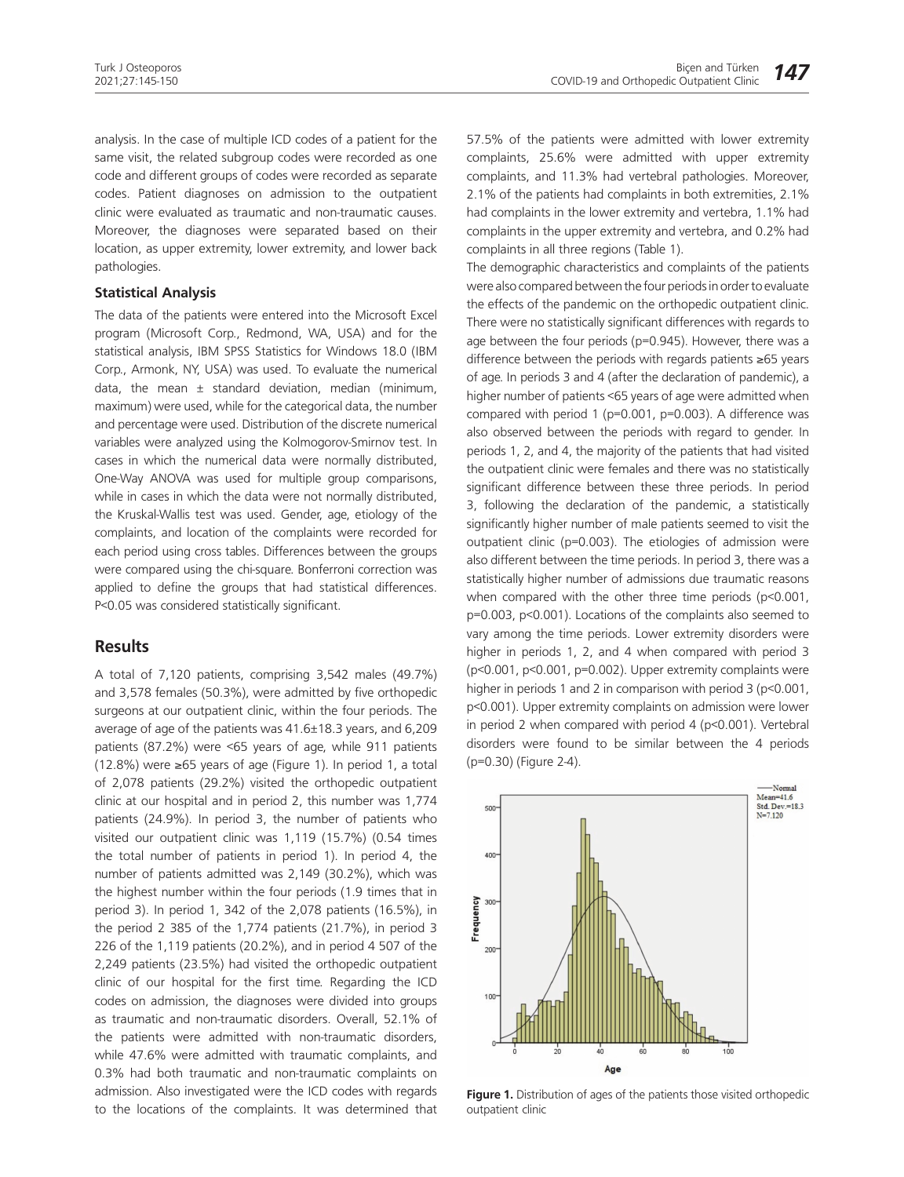analysis. In the case of multiple ICD codes of a patient for the same visit, the related subgroup codes were recorded as one code and different groups of codes were recorded as separate codes. Patient diagnoses on admission to the outpatient clinic were evaluated as traumatic and non-traumatic causes. Moreover, the diagnoses were separated based on their location, as upper extremity, lower extremity, and lower back pathologies.

#### **Statistical Analysis**

The data of the patients were entered into the Microsoft Excel program (Microsoft Corp., Redmond, WA, USA) and for the statistical analysis, IBM SPSS Statistics for Windows 18.0 (IBM Corp., Armonk, NY, USA) was used. To evaluate the numerical data, the mean  $\pm$  standard deviation, median (minimum, maximum) were used, while for the categorical data, the number and percentage were used. Distribution of the discrete numerical variables were analyzed using the Kolmogorov-Smirnov test. In cases in which the numerical data were normally distributed, One-Way ANOVA was used for multiple group comparisons, while in cases in which the data were not normally distributed, the Kruskal-Wallis test was used. Gender, age, etiology of the complaints, and location of the complaints were recorded for each period using cross tables. Differences between the groups were compared using the chi-square. Bonferroni correction was applied to define the groups that had statistical differences. P<0.05 was considered statistically significant.

### **Results**

A total of 7,120 patients, comprising 3,542 males (49.7%) and 3,578 females (50.3%), were admitted by five orthopedic surgeons at our outpatient clinic, within the four periods. The average of age of the patients was 41.6±18.3 years, and 6,209 patients (87.2%) were <65 years of age, while 911 patients (12.8%) were ≥65 years of age (Figure 1). In period 1, a total of 2,078 patients (29.2%) visited the orthopedic outpatient clinic at our hospital and in period 2, this number was 1,774 patients (24.9%). In period 3, the number of patients who visited our outpatient clinic was 1,119 (15.7%) (0.54 times the total number of patients in period 1). In period 4, the number of patients admitted was 2,149 (30.2%), which was the highest number within the four periods (1.9 times that in period 3). In period 1, 342 of the 2,078 patients (16.5%), in the period 2 385 of the 1,774 patients (21.7%), in period 3 226 of the 1,119 patients (20.2%), and in period 4 507 of the 2,249 patients (23.5%) had visited the orthopedic outpatient clinic of our hospital for the first time. Regarding the ICD codes on admission, the diagnoses were divided into groups as traumatic and non-traumatic disorders. Overall, 52.1% of the patients were admitted with non-traumatic disorders, while 47.6% were admitted with traumatic complaints, and 0.3% had both traumatic and non-traumatic complaints on admission. Also investigated were the ICD codes with regards to the locations of the complaints. It was determined that 57.5% of the patients were admitted with lower extremity complaints, 25.6% were admitted with upper extremity complaints, and 11.3% had vertebral pathologies. Moreover, 2.1% of the patients had complaints in both extremities, 2.1% had complaints in the lower extremity and vertebra, 1.1% had complaints in the upper extremity and vertebra, and 0.2% had complaints in all three regions (Table 1).

The demographic characteristics and complaints of the patients were also compared between the four periods in order to evaluate the effects of the pandemic on the orthopedic outpatient clinic. There were no statistically significant differences with regards to age between the four periods (p=0.945). However, there was a difference between the periods with regards patients ≥65 years of age. In periods 3 and 4 (after the declaration of pandemic), a higher number of patients <65 years of age were admitted when compared with period 1 (p=0.001, p=0.003). A difference was also observed between the periods with regard to gender. In periods 1, 2, and 4, the majority of the patients that had visited the outpatient clinic were females and there was no statistically significant difference between these three periods. In period 3, following the declaration of the pandemic, a statistically significantly higher number of male patients seemed to visit the outpatient clinic (p=0.003). The etiologies of admission were also different between the time periods. In period 3, there was a statistically higher number of admissions due traumatic reasons when compared with the other three time periods (p<0.001, p=0.003, p<0.001). Locations of the complaints also seemed to vary among the time periods. Lower extremity disorders were higher in periods 1, 2, and 4 when compared with period 3 (p<0.001, p<0.001, p=0.002). Upper extremity complaints were higher in periods 1 and 2 in comparison with period 3 (p<0.001, p<0.001). Upper extremity complaints on admission were lower in period 2 when compared with period 4 (p<0.001). Vertebral disorders were found to be similar between the 4 periods (p=0.30) (Figure 2-4).



**Figure 1.** Distribution of ages of the patients those visited orthopedic outpatient clinic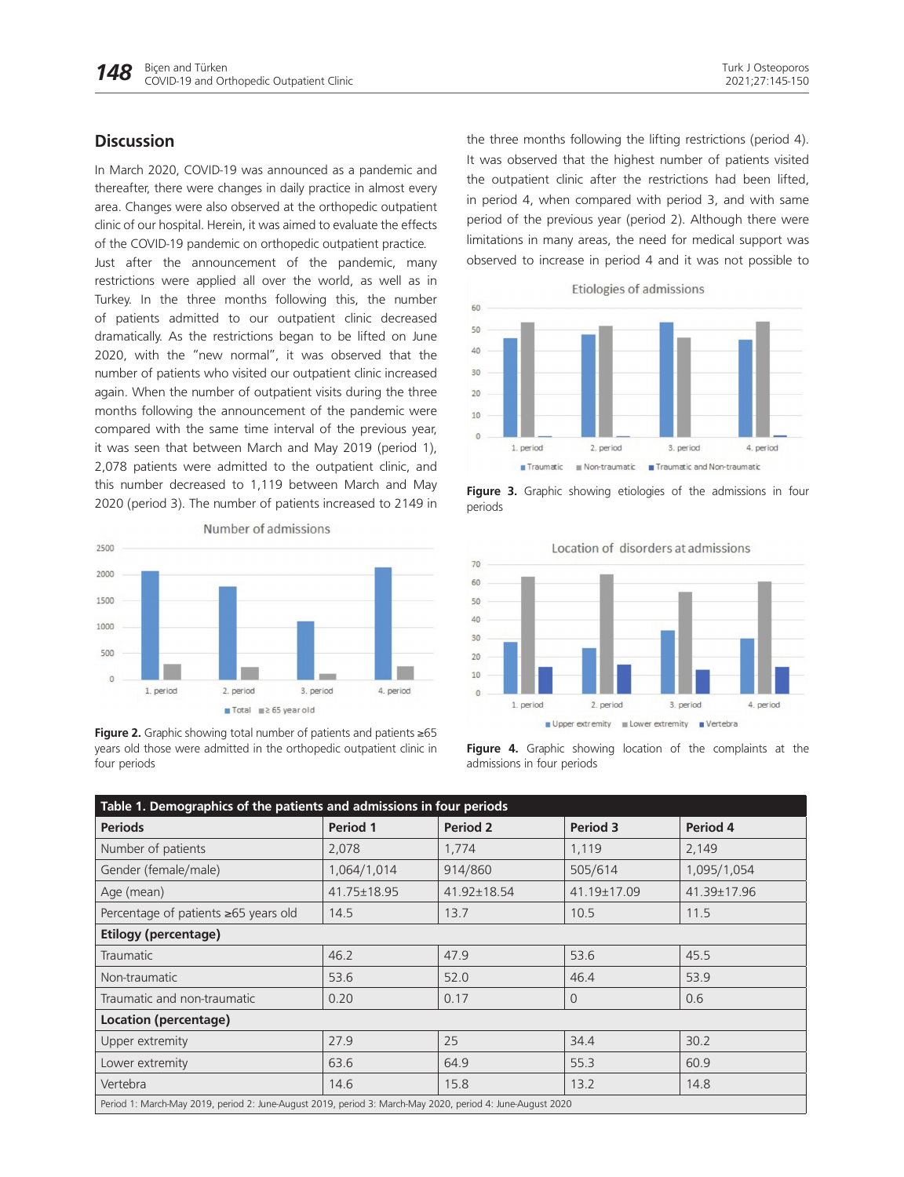# **Discussion**

In March 2020, COVID-19 was announced as a pandemic and thereafter, there were changes in daily practice in almost every area. Changes were also observed at the orthopedic outpatient clinic of our hospital. Herein, it was aimed to evaluate the effects of the COVID-19 pandemic on orthopedic outpatient practice.

Just after the announcement of the pandemic, many restrictions were applied all over the world, as well as in Turkey. In the three months following this, the number of patients admitted to our outpatient clinic decreased dramatically. As the restrictions began to be lifted on June 2020, with the "new normal", it was observed that the number of patients who visited our outpatient clinic increased again. When the number of outpatient visits during the three months following the announcement of the pandemic were compared with the same time interval of the previous year, it was seen that between March and May 2019 (period 1), 2,078 patients were admitted to the outpatient clinic, and this number decreased to 1,119 between March and May 2020 (period 3). The number of patients increased to 2149 in



**Figure 2.** Graphic showing total number of patients and patients ≥65 years old those were admitted in the orthopedic outpatient clinic in four periods

the three months following the lifting restrictions (period 4). It was observed that the highest number of patients visited the outpatient clinic after the restrictions had been lifted, in period 4, when compared with period 3, and with same period of the previous year (period 2). Although there were limitations in many areas, the need for medical support was observed to increase in period 4 and it was not possible to



**Figure 3.** Graphic showing etiologies of the admissions in four periods



**Figure 4.** Graphic showing location of the complaints at the admissions in four periods

| Table 1. Demographics of the patients and admissions in four periods                                       |             |             |                |             |
|------------------------------------------------------------------------------------------------------------|-------------|-------------|----------------|-------------|
| <b>Periods</b>                                                                                             | Period 1    | Period 2    | Period 3       | Period 4    |
| Number of patients                                                                                         | 2,078       | 1,774       | 1,119          | 2,149       |
| Gender (female/male)                                                                                       | 1,064/1,014 | 914/860     | 505/614        | 1,095/1,054 |
| Age (mean)                                                                                                 | 41.75±18.95 | 41.92±18.54 | 41.19±17.09    | 41.39±17.96 |
| Percentage of patients ≥65 years old                                                                       | 14.5        | 13.7        | 10.5           | 11.5        |
| <b>Etilogy (percentage)</b>                                                                                |             |             |                |             |
| <b>Traumatic</b>                                                                                           | 46.2        | 47.9        | 53.6           | 45.5        |
| Non-traumatic                                                                                              | 53.6        | 52.0        | 46.4           | 53.9        |
| Traumatic and non-traumatic                                                                                | 0.20        | 0.17        | $\overline{0}$ | 0.6         |
| Location (percentage)                                                                                      |             |             |                |             |
| Upper extremity                                                                                            | 27.9        | 25          | 34.4           | 30.2        |
| Lower extremity                                                                                            | 63.6        | 64.9        | 55.3           | 60.9        |
| Vertebra                                                                                                   | 14.6        | 15.8        | 13.2           | 14.8        |
| Period 1: March-May 2019, period 2: June-August 2019, period 3: March-May 2020, period 4: June-August 2020 |             |             |                |             |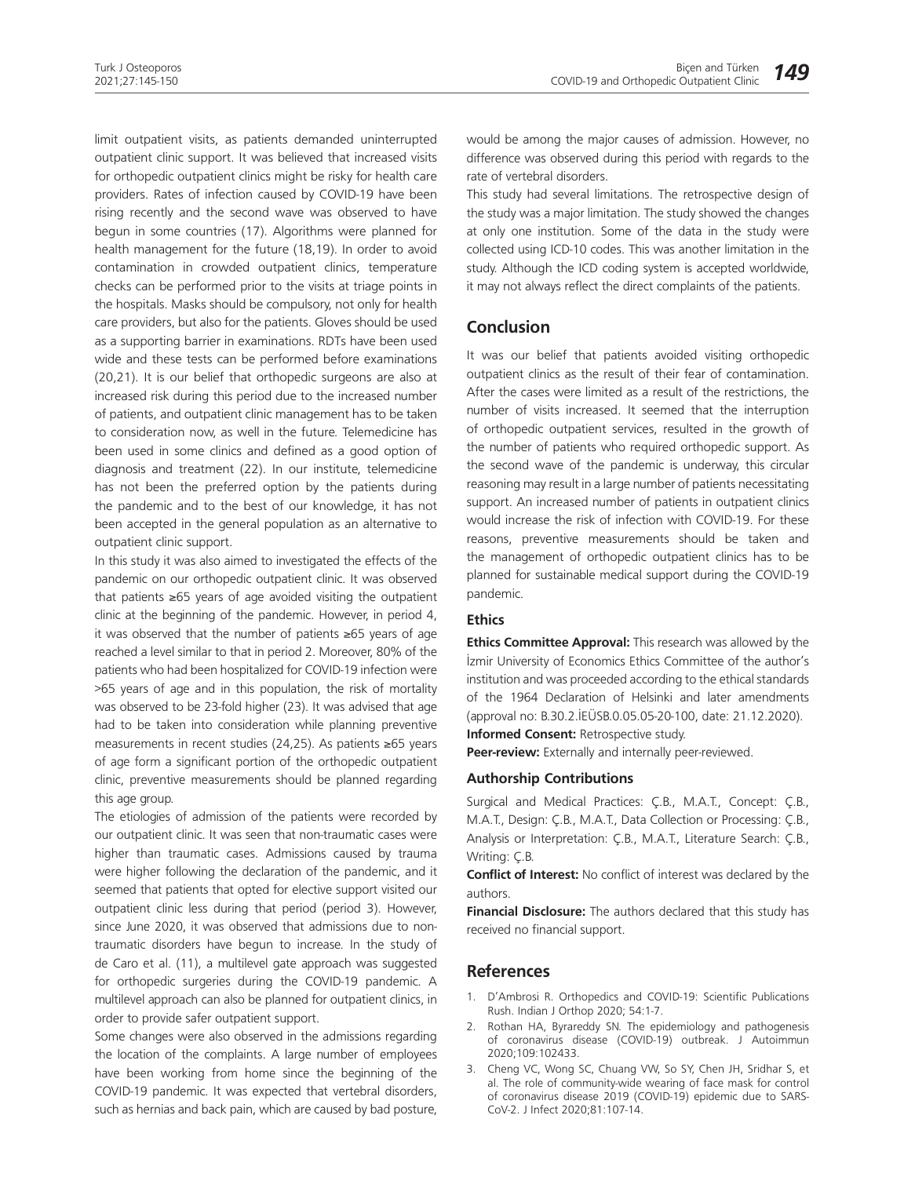limit outpatient visits, as patients demanded uninterrupted outpatient clinic support. It was believed that increased visits for orthopedic outpatient clinics might be risky for health care providers. Rates of infection caused by COVID-19 have been rising recently and the second wave was observed to have begun in some countries (17). Algorithms were planned for health management for the future (18,19). In order to avoid contamination in crowded outpatient clinics, temperature checks can be performed prior to the visits at triage points in the hospitals. Masks should be compulsory, not only for health care providers, but also for the patients. Gloves should be used as a supporting barrier in examinations. RDTs have been used wide and these tests can be performed before examinations (20,21). It is our belief that orthopedic surgeons are also at increased risk during this period due to the increased number of patients, and outpatient clinic management has to be taken to consideration now, as well in the future. Telemedicine has been used in some clinics and defined as a good option of diagnosis and treatment (22). In our institute, telemedicine has not been the preferred option by the patients during the pandemic and to the best of our knowledge, it has not been accepted in the general population as an alternative to outpatient clinic support.

In this study it was also aimed to investigated the effects of the pandemic on our orthopedic outpatient clinic. It was observed that patients ≥65 years of age avoided visiting the outpatient clinic at the beginning of the pandemic. However, in period 4, it was observed that the number of patients ≥65 years of age reached a level similar to that in period 2. Moreover, 80% of the patients who had been hospitalized for COVID-19 infection were >65 years of age and in this population, the risk of mortality was observed to be 23-fold higher (23). It was advised that age had to be taken into consideration while planning preventive measurements in recent studies (24,25). As patients ≥65 years of age form a significant portion of the orthopedic outpatient clinic, preventive measurements should be planned regarding this age group.

The etiologies of admission of the patients were recorded by our outpatient clinic. It was seen that non-traumatic cases were higher than traumatic cases. Admissions caused by trauma were higher following the declaration of the pandemic, and it seemed that patients that opted for elective support visited our outpatient clinic less during that period (period 3). However, since June 2020, it was observed that admissions due to nontraumatic disorders have begun to increase. In the study of de Caro et al. (11), a multilevel gate approach was suggested for orthopedic surgeries during the COVID-19 pandemic. A multilevel approach can also be planned for outpatient clinics, in order to provide safer outpatient support.

Some changes were also observed in the admissions regarding the location of the complaints. A large number of employees have been working from home since the beginning of the COVID-19 pandemic. It was expected that vertebral disorders, such as hernias and back pain, which are caused by bad posture,

would be among the major causes of admission. However, no difference was observed during this period with regards to the rate of vertebral disorders.

This study had several limitations. The retrospective design of the study was a major limitation. The study showed the changes at only one institution. Some of the data in the study were collected using ICD-10 codes. This was another limitation in the study. Although the ICD coding system is accepted worldwide, it may not always reflect the direct complaints of the patients.

## **Conclusion**

It was our belief that patients avoided visiting orthopedic outpatient clinics as the result of their fear of contamination. After the cases were limited as a result of the restrictions, the number of visits increased. It seemed that the interruption of orthopedic outpatient services, resulted in the growth of the number of patients who required orthopedic support. As the second wave of the pandemic is underway, this circular reasoning may result in a large number of patients necessitating support. An increased number of patients in outpatient clinics would increase the risk of infection with COVID-19. For these reasons, preventive measurements should be taken and the management of orthopedic outpatient clinics has to be planned for sustainable medical support during the COVID-19 pandemic.

#### **Ethics**

**Ethics Committee Approval:** This research was allowed by the İzmir University of Economics Ethics Committee of the author's institution and was proceeded according to the ethical standards of the 1964 Declaration of Helsinki and later amendments (approval no: B.30.2.İEÜSB.0.05.05-20-100, date: 21.12.2020). **Informed Consent:** Retrospective study.

**Peer-review:** Externally and internally peer-reviewed.

#### **Authorship Contributions**

Surgical and Medical Practices: Ç.B., M.A.T., Concept: Ç.B., M.A.T., Design: Ç.B., M.A.T., Data Collection or Processing: Ç.B., Analysis or Interpretation: Ç.B., M.A.T., Literature Search: Ç.B., Writing: Ç.B.

**Conflict of Interest:** No conflict of interest was declared by the authors.

**Financial Disclosure:** The authors declared that this study has received no financial support.

## **References**

- 1. D'Ambrosi R. Orthopedics and COVID-19: Scientific Publications Rush. Indian J Orthop 2020; 54:1-7.
- 2. Rothan HA, Byrareddy SN. The epidemiology and pathogenesis of coronavirus disease (COVID-19) outbreak. J Autoimmun 2020;109:102433.
- 3. Cheng VC, Wong SC, Chuang VW, So SY, Chen JH, Sridhar S, et al. The role of community-wide wearing of face mask for control of coronavirus disease 2019 (COVID-19) epidemic due to SARS-CoV-2. J Infect 2020;81:107-14.